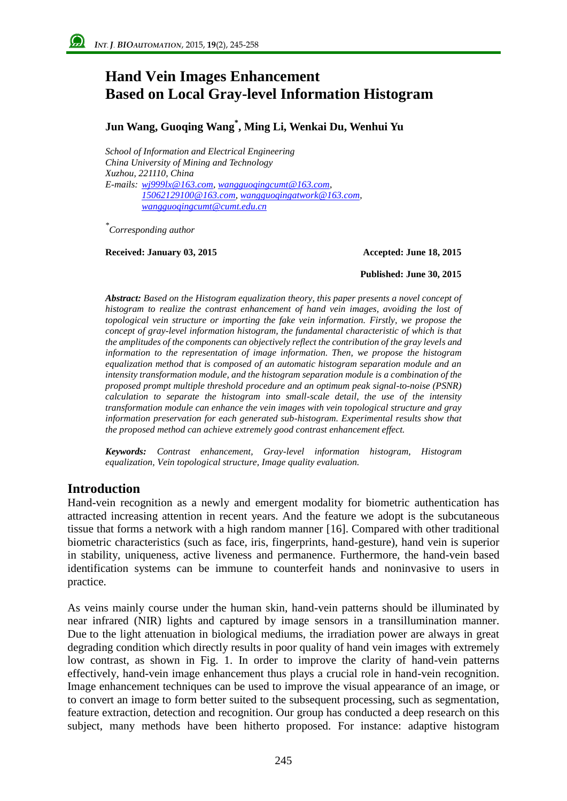# **Hand Vein Images Enhancement Based on Local Gray-level Information Histogram**

**Jun Wang, Guoqing Wang\* , Ming Li, Wenkai Du, Wenhui Yu**

*School of Information and Electrical Engineering China University of Mining and Technology Xuzhou, 221110, China E-mails: [wj999lx@163.com,](mailto:wj999lx@163.com) [wangguoqingcumt@163.com](mailto:wangguoqingcumt@163.com)*, *15062129100@163.com, wangguoqingatwork@163.com, wangguoqingcumt@cumt.edu.cn*

*\* Corresponding author* 

**Received: January 03, 2015 Accepted: June 18, 2015** 

**Published: June 30, 2015**

*Abstract: Based on the Histogram equalization theory, this paper presents a novel concept of histogram to realize the contrast enhancement of hand vein images, avoiding the lost of topological vein structure or importing the fake vein information. Firstly, we propose the concept of gray-level information histogram, the fundamental characteristic of which is that the amplitudes of the components can objectively reflect the contribution of the gray levels and information to the representation of image information. Then, we propose the histogram equalization method that is composed of an automatic histogram separation module and an intensity transformation module, and the histogram separation module is a combination of the proposed prompt multiple threshold procedure and an optimum peak signal-to-noise (PSNR) calculation to separate the histogram into small-scale detail, the use of the intensity transformation module can enhance the vein images with vein topological structure and gray information preservation for each generated sub-histogram. Experimental results show that the proposed method can achieve extremely good contrast enhancement effect.*

*Keywords: Contrast enhancement, Gray-level information histogram, Histogram equalization, Vein topological structure, Image quality evaluation.*

### **Introduction**

Hand-vein recognition as a newly and emergent modality for biometric authentication has attracted increasing attention in recent years. And the feature we adopt is the subcutaneous tissue that forms a network with a high random manner [16]. Compared with other traditional biometric characteristics (such as face, iris, fingerprints, hand-gesture), hand vein is superior in stability, uniqueness, active liveness and permanence. Furthermore, the hand-vein based identification systems can be immune to counterfeit hands and noninvasive to users in practice.

As veins mainly course under the human skin, hand-vein patterns should be illuminated by near infrared (NIR) lights and captured by image sensors in a transillumination manner. Due to the light attenuation in biological mediums, the irradiation power are always in great degrading condition which directly results in poor quality of hand vein images with extremely low contrast, as shown in Fig. 1. In order to improve the clarity of hand-vein patterns effectively, hand-vein image enhancement thus plays a crucial role in hand-vein recognition. Image enhancement techniques can be used to improve the visual appearance of an image, or to convert an image to form better suited to the subsequent processing, such as segmentation, feature extraction, detection and recognition. Our group has conducted a deep research on this subject, many methods have been hitherto proposed. For instance: adaptive histogram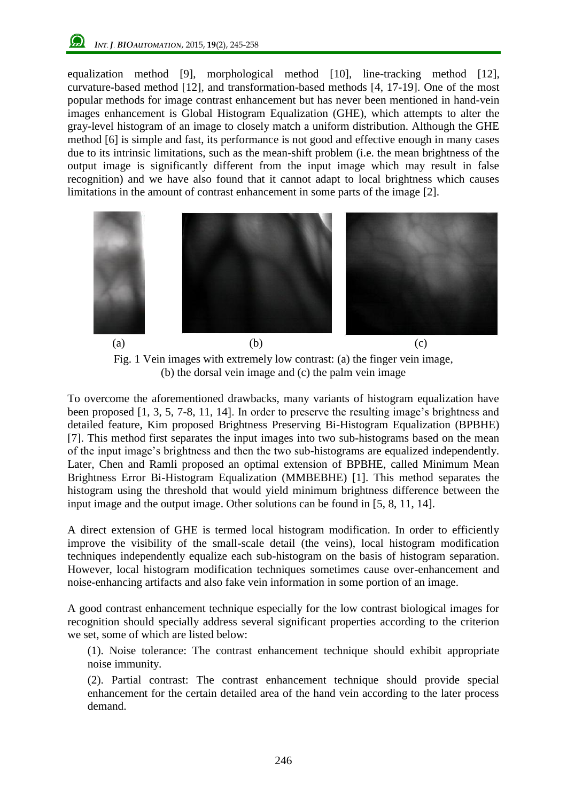equalization method [9], morphological method [10], line-tracking method [12], curvature-based method [12], and transformation-based methods [4, 17-19]. One of the most popular methods for image contrast enhancement but has never been mentioned in hand-vein images enhancement is Global Histogram Equalization (GHE), which attempts to alter the gray-level histogram of an image to closely match a uniform distribution. Although the GHE method [6] is simple and fast, its performance is not good and effective enough in many cases due to its intrinsic limitations, such as the mean-shift problem (i.e. the mean brightness of the output image is significantly different from the input image which may result in false recognition) and we have also found that it cannot adapt to local brightness which causes limitations in the amount of contrast enhancement in some parts of the image [2].





To overcome the aforementioned drawbacks, many variants of histogram equalization have been proposed [1, 3, 5, 7-8, 11, 14]. In order to preserve the resulting image's brightness and detailed feature, Kim proposed Brightness Preserving Bi-Histogram Equalization (BPBHE) [7]. This method first separates the input images into two sub-histograms based on the mean of the input image's brightness and then the two sub-histograms are equalized independently. Later, Chen and Ramli proposed an optimal extension of BPBHE, called Minimum Mean Brightness Error Bi-Histogram Equalization (MMBEBHE) [1]. This method separates the histogram using the threshold that would yield minimum brightness difference between the input image and the output image. Other solutions can be found in [5, 8, 11, 14].

A direct extension of GHE is termed local histogram modification. In order to efficiently improve the visibility of the small-scale detail (the veins), local histogram modification techniques independently equalize each sub-histogram on the basis of histogram separation. However, local histogram modification techniques sometimes cause over-enhancement and noise-enhancing artifacts and also fake vein information in some portion of an image.

A good contrast enhancement technique especially for the low contrast biological images for recognition should specially address several significant properties according to the criterion we set, some of which are listed below:

(1). Noise tolerance: The contrast enhancement technique should exhibit appropriate noise immunity.

(2). Partial contrast: The contrast enhancement technique should provide special enhancement for the certain detailed area of the hand vein according to the later process demand.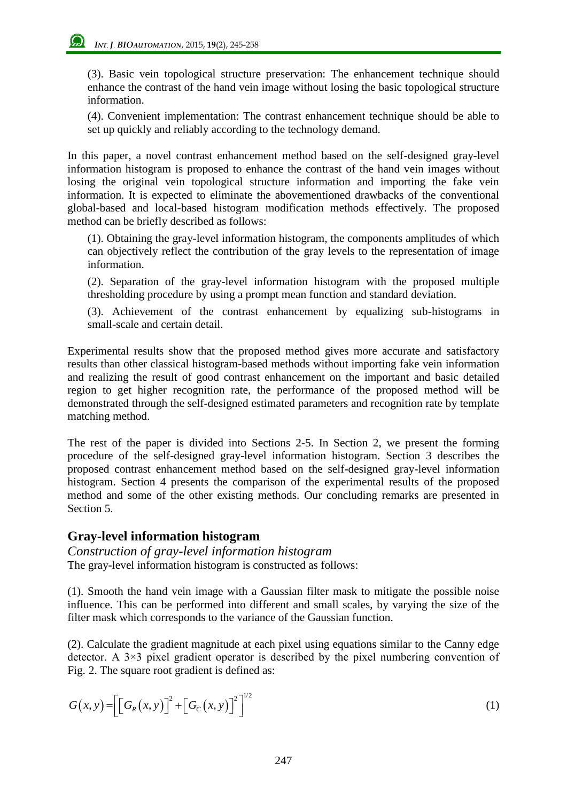(3). Basic vein topological structure preservation: The enhancement technique should enhance the contrast of the hand vein image without losing the basic topological structure information.

(4). Convenient implementation: The contrast enhancement technique should be able to set up quickly and reliably according to the technology demand.

In this paper, a novel contrast enhancement method based on the self-designed gray-level information histogram is proposed to enhance the contrast of the hand vein images without losing the original vein topological structure information and importing the fake vein information. It is expected to eliminate the abovementioned drawbacks of the conventional global-based and local-based histogram modification methods effectively. The proposed method can be briefly described as follows:

(1). Obtaining the gray-level information histogram, the components amplitudes of which can objectively reflect the contribution of the gray levels to the representation of image information.

(2). Separation of the gray-level information histogram with the proposed multiple thresholding procedure by using a prompt mean function and standard deviation.

(3). Achievement of the contrast enhancement by equalizing sub-histograms in small-scale and certain detail.

Experimental results show that the proposed method gives more accurate and satisfactory results than other classical histogram-based methods without importing fake vein information and realizing the result of good contrast enhancement on the important and basic detailed region to get higher recognition rate, the performance of the proposed method will be demonstrated through the self-designed estimated parameters and recognition rate by template matching method.

The rest of the paper is divided into Sections 2-5. In Section 2, we present the forming procedure of the self-designed gray-level information histogram. Section 3 describes the proposed contrast enhancement method based on the self-designed gray-level information histogram. Section 4 presents the comparison of the experimental results of the proposed method and some of the other existing methods. Our concluding remarks are presented in Section 5.

### **Gray-level information histogram**

*Construction of gray-level information histogram* The gray-level information histogram is constructed as follows:

(1). Smooth the hand vein image with a Gaussian filter mask to mitigate the possible noise influence. This can be performed into different and small scales, by varying the size of the filter mask which corresponds to the variance of the Gaussian function.

(2). Calculate the gradient magnitude at each pixel using equations similar to the Canny edge detector. A 3×3 pixel gradient operator is described by the pixel numbering convention of Fig. 2. The square root gradient is defined as:

$$
G(x, y) = \left[ \left[ G_R(x, y) \right]^2 + \left[ G_C(x, y) \right]^2 \right]^{1/2} \tag{1}
$$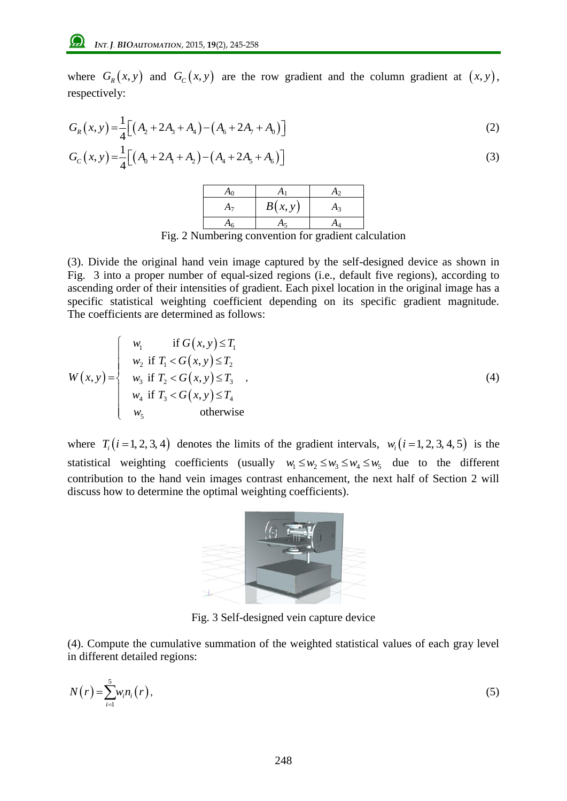where  $G_R(x, y)$  and  $G_C(x, y)$  are the row gradient and the column gradient at  $(x, y)$ , respectively:

$$
G_R(x, y) = \frac{1}{4} \Big[ \Big( A_2 + 2A_3 + A_4 \Big) - \Big( A_6 + 2A_7 + A_0 \Big) \Big]
$$
 (2)

$$
G_{R}(x, y) = \frac{1}{4} \Big[ (A_{0} + 2A_{1} + A_{2}) - (A_{4} + 2A_{5} + A_{6}) \Big] \tag{3}
$$



Fig. 2 Numbering convention for gradient calculation

(3). Divide the original hand vein image captured by the self-designed device as shown in Fig. 3 into a proper number of equal-sized regions (i.e., default five regions), according to ascending order of their intensities of gradient. Each pixel location in the original image has a specific statistical weighting coefficient depending on its specific gradient magnitude. The coefficients are determined as follows:

$$
W(x, y) = \begin{cases} w_1 & \text{if } G(x, y) \le T_1 \\ w_2 & \text{if } T_1 < G(x, y) \le T_2 \\ w_3 & \text{if } T_2 < G(x, y) \le T_3 \\ w_4 & \text{if } T_3 < G(x, y) \le T_4 \\ w_5 & \text{otherwise} \end{cases} \tag{4}
$$

where  $T_i$  (*i* = 1, 2, 3, 4) denotes the limits of the gradient intervals,  $w_i$  (*i* = 1, 2, 3, 4, 5) is the statistical weighting coefficients (usually  $w_1 \leq w_2 \leq w_3 \leq w_4 \leq w_5$  due to the different contribution to the hand vein images contrast enhancement, the next half of Section 2 will discuss how to determine the optimal weighting coefficients).



Fig. 3 Self-designed vein capture device

(4). Compute the cumulative summation of the weighted statistical values of each gray level in different detailed regions:

$$
N(r) = \sum_{i=1}^{5} w_i n_i(r), \qquad (5)
$$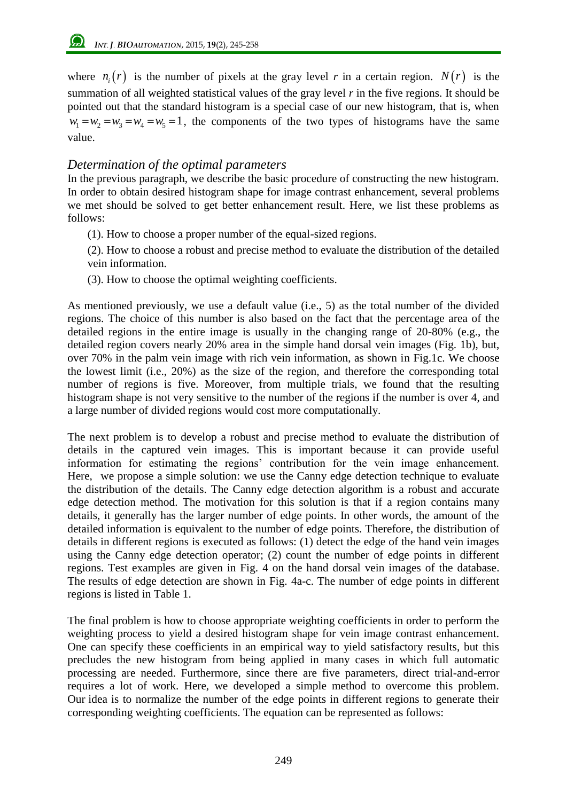where  $n_i(r)$  is the number of pixels at the gray level *r* in a certain region.  $N(r)$  is the summation of all weighted statistical values of the gray level *r* in the five regions. It should be pointed out that the standard histogram is a special case of our new histogram, that is, when  $w_1 = w_2 = w_3 = w_4 = w_5 = 1$ , the components of the two types of histograms have the same value.

### *Determination of the optimal parameters*

In the previous paragraph, we describe the basic procedure of constructing the new histogram. In order to obtain desired histogram shape for image contrast enhancement, several problems we met should be solved to get better enhancement result. Here, we list these problems as follows:

- (1). How to choose a proper number of the equal-sized regions.
- (2). How to choose a robust and precise method to evaluate the distribution of the detailed vein information.
- (3). How to choose the optimal weighting coefficients.

As mentioned previously, we use a default value (i.e., 5) as the total number of the divided regions. The choice of this number is also based on the fact that the percentage area of the detailed regions in the entire image is usually in the changing range of 20-80% (e.g., the detailed region covers nearly 20% area in the simple hand dorsal vein images (Fig. 1b), but, over 70% in the palm vein image with rich vein information, as shown in Fig.1c. We choose the lowest limit (i.e., 20%) as the size of the region, and therefore the corresponding total number of regions is five. Moreover, from multiple trials, we found that the resulting histogram shape is not very sensitive to the number of the regions if the number is over 4, and a large number of divided regions would cost more computationally.

The next problem is to develop a robust and precise method to evaluate the distribution of details in the captured vein images. This is important because it can provide useful information for estimating the regions' contribution for the vein image enhancement. Here, we propose a simple solution: we use the Canny edge detection technique to evaluate the distribution of the details. The Canny edge detection algorithm is a robust and accurate edge detection method. The motivation for this solution is that if a region contains many details, it generally has the larger number of edge points. In other words, the amount of the detailed information is equivalent to the number of edge points. Therefore, the distribution of details in different regions is executed as follows: (1) detect the edge of the hand vein images using the Canny edge detection operator; (2) count the number of edge points in different regions. Test examples are given in Fig. 4 on the hand dorsal vein images of the database. The results of edge detection are shown in Fig. 4a-c. The number of edge points in different regions is listed in Table 1.

The final problem is how to choose appropriate weighting coefficients in order to perform the weighting process to yield a desired histogram shape for vein image contrast enhancement. One can specify these coefficients in an empirical way to yield satisfactory results, but this precludes the new histogram from being applied in many cases in which full automatic processing are needed. Furthermore, since there are five parameters, direct trial-and-error requires a lot of work. Here, we developed a simple method to overcome this problem. Our idea is to normalize the number of the edge points in different regions to generate their corresponding weighting coefficients. The equation can be represented as follows: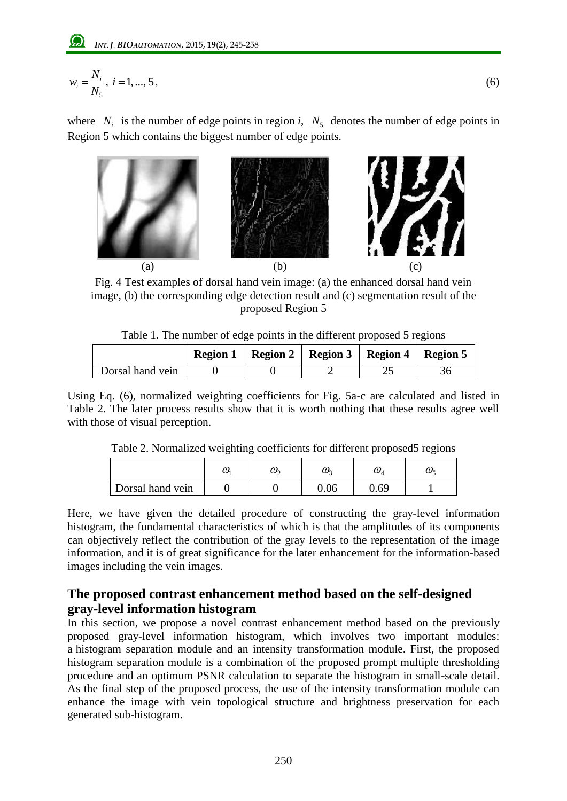$$
w_i = \frac{N_i}{N_5}, \ i = 1, ..., 5,
$$
\n(6)

where  $N_i$  is the number of edge points in region *i*,  $N_5$  denotes the number of edge points in Region 5 which contains the biggest number of edge points.



Fig. 4 Test examples of dorsal hand vein image: (a) the enhanced dorsal hand vein image, (b) the corresponding edge detection result and (c) segmentation result of the proposed Region 5

| Table 1. The number of edge points in the different proposed 5 regions |  |  |  |
|------------------------------------------------------------------------|--|--|--|
|------------------------------------------------------------------------|--|--|--|

|                  | <b>Region 1</b> |  | Region 2   Region 3   Region 4   Region 5 |  |
|------------------|-----------------|--|-------------------------------------------|--|
| Dorsal hand vein |                 |  |                                           |  |

Using Eq. (6), normalized weighting coefficients for Fig. 5a-c are calculated and listed in Table 2. The later process results show that it is worth nothing that these results agree well with those of visual perception.

| ے<br>ີ           |                       |                       |      |                       |                     |
|------------------|-----------------------|-----------------------|------|-----------------------|---------------------|
|                  | $\boldsymbol{\omega}$ | ω.<br><b><u>_</u></b> | ω,   | $\boldsymbol{\omega}$ | $\omega_{\epsilon}$ |
| Dorsal hand vein |                       |                       | 0.06 | 0.69                  |                     |

Table 2. Normalized weighting coefficients for different proposed5 regions

Here, we have given the detailed procedure of constructing the gray-level information histogram, the fundamental characteristics of which is that the amplitudes of its components can objectively reflect the contribution of the gray levels to the representation of the image information, and it is of great significance for the later enhancement for the information-based images including the vein images.

### **The proposed contrast enhancement method based on the self-designed gray-level information histogram**

In this section, we propose a novel contrast enhancement method based on the previously proposed gray-level information histogram, which involves two important modules: a histogram separation module and an intensity transformation module. First, the proposed histogram separation module is a combination of the proposed prompt multiple thresholding procedure and an optimum PSNR calculation to separate the histogram in small-scale detail. As the final step of the proposed process, the use of the intensity transformation module can enhance the image with vein topological structure and brightness preservation for each generated sub-histogram.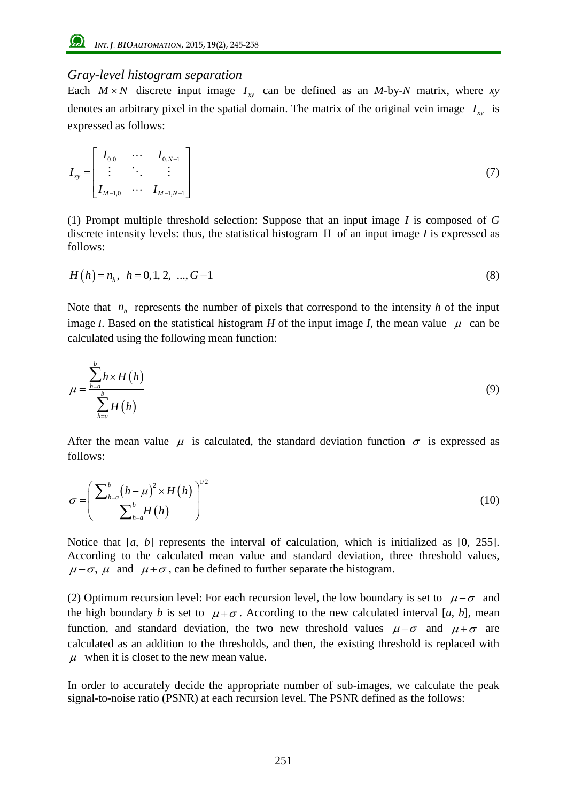#### *Gray-level histogram separation*

Each  $M \times N$  discrete input image  $I_{xy}$  can be defined as an *M*-by-*N* matrix, where *xy* denotes an arbitrary pixel in the spatial domain. The matrix of the original vein image  $I_{xy}$  is expressed as follows:

$$
I_{xy} = \begin{bmatrix} I_{0,0} & \cdots & I_{0,N-1} \\ \vdots & \ddots & \vdots \\ I_{M-1,0} & \cdots & I_{M-1,N-1} \end{bmatrix}
$$
 (7)

(1) Prompt multiple threshold selection: Suppose that an input image *I* is composed of *G* discrete intensity levels: thus, the statistical histogram  $H$  of an input image  $I$  is expressed as follows:

$$
H(h) = n_h, \quad h = 0, 1, 2, \dots, G-1
$$
 (8)

Note that  $n_h$  represents the number of pixels that correspond to the intensity  $h$  of the input image *I*. Based on the statistical histogram *H* of the input image *I*, the mean value  $\mu$  can be calculated using the following mean function:

$$
\mu = \frac{\sum_{h=a}^{b} h \times H(h)}{\sum_{h=a}^{b} H(h)}
$$
\n(9)

After the mean value  $\mu$  is calculated, the standard deviation function  $\sigma$  is expressed as follows:

$$
\sigma = \left(\frac{\sum_{h=a}^{b} (h - \mu)^2 \times H(h)}{\sum_{h=a}^{b} H(h)}\right)^{1/2}
$$
\n(10)

Notice that [*a*, *b*] represents the interval of calculation, which is initialized as [0, 255]. According to the calculated mean value and standard deviation, three threshold values,  $\mu-\sigma$ ,  $\mu$  and  $\mu+\sigma$ , can be defined to further separate the histogram.

(2) Optimum recursion level: For each recursion level, the low boundary is set to  $\mu-\sigma$  and the high boundary *b* is set to  $\mu + \sigma$ . According to the new calculated interval [a, b], mean function, and standard deviation, the two new threshold values  $\mu-\sigma$  and  $\mu+\sigma$  are calculated as an addition to the thresholds, and then, the existing threshold is replaced with  $\mu$  when it is closet to the new mean value.

In order to accurately decide the appropriate number of sub-images, we calculate the peak signal-to-noise ratio (PSNR) at each recursion level. The PSNR defined as the follows: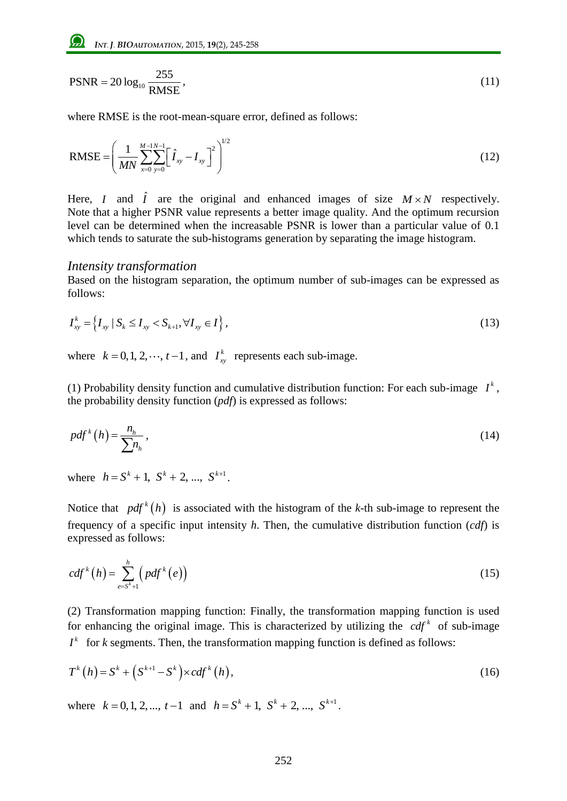$$
PSNR = 20 \log_{10} \frac{255}{RMSE},\tag{11}
$$

where RMSE is the root-mean-square error, defined as follows:

RMSE = 
$$
\left(\frac{1}{MN}\sum_{x=0}^{M-1}\sum_{y=0}^{N-1} \left[\hat{I}_{xy} - I_{xy}\right]^{2}\right)^{1/2}
$$
(12)

Here, *I* and  $\hat{I}$  are the original and enhanced images of size  $M \times N$  respectively. Note that a higher PSNR value represents a better image quality. And the optimum recursion level can be determined when the increasable PSNR is lower than a particular value of 0.1 which tends to saturate the sub-histograms generation by separating the image histogram.

#### *Intensity transformation*

Based on the histogram separation, the optimum number of sub-images can be expressed as follows:

$$
I_{xy}^{k} = \left\{ I_{xy} \mid S_k \le I_{xy} < S_{k+1}, \forall I_{xy} \in I \right\},\tag{13}
$$

where  $k = 0, 1, 2, \dots, t-1$ , and  $I_{xy}^k$  represents each sub-image.

(1) Probability density function and cumulative distribution function: For each sub-image  $I^k$ , the probability density function (*pdf*) is expressed as follows:

$$
pdf^{k}(h) = \frac{n_h}{\sum n_h},
$$
\n(14)

where  $h = S^k + 1$ ,  $S^k + 2$ , ...,  $S^{k+1}$ .

Notice that  $pdf<sup>k</sup>(h)$  is associated with the histogram of the *k*-th sub-image to represent the frequency of a specific input intensity *h*. Then, the cumulative distribution function (*cdf*) is expressed as follows:

$$
cdf^{k}(h) = \sum_{e=S^{k}+1}^{h} (pdf^{k}(e))
$$
\n(15)

(2) Transformation mapping function: Finally, the transformation mapping function is used for enhancing the original image. This is characterized by utilizing the  $cdf<sup>k</sup>$  of sub-image  $I<sup>k</sup>$  for *k* segments. Then, the transformation mapping function is defined as follows:

$$
T^{k}(h) = S^{k} + (S^{k+1} - S^{k}) \times cdf^{k}(h),
$$
\n(16)

where  $k = 0, 1, 2, ..., t-1$  and  $h = S^k + 1, S^k + 2, ..., S^{k+1}$ .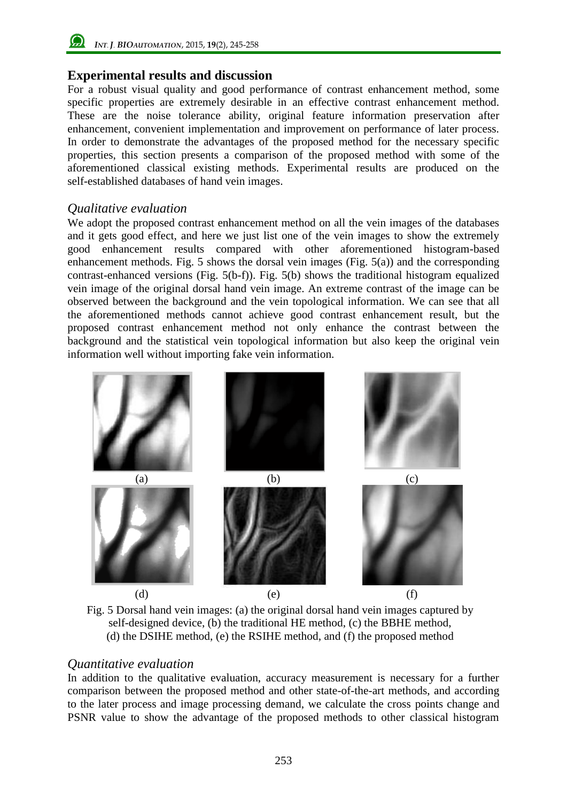# **Experimental results and discussion**

For a robust visual quality and good performance of contrast enhancement method, some specific properties are extremely desirable in an effective contrast enhancement method. These are the noise tolerance ability, original feature information preservation after enhancement, convenient implementation and improvement on performance of later process. In order to demonstrate the advantages of the proposed method for the necessary specific properties, this section presents a comparison of the proposed method with some of the aforementioned classical existing methods. Experimental results are produced on the self-established databases of hand vein images.

### *Qualitative evaluation*

We adopt the proposed contrast enhancement method on all the vein images of the databases and it gets good effect, and here we just list one of the vein images to show the extremely good enhancement results compared with other aforementioned histogram-based enhancement methods. Fig. 5 shows the dorsal vein images (Fig. 5(a)) and the corresponding contrast-enhanced versions (Fig. 5(b-f)). Fig. 5(b) shows the traditional histogram equalized vein image of the original dorsal hand vein image. An extreme contrast of the image can be observed between the background and the vein topological information. We can see that all the aforementioned methods cannot achieve good contrast enhancement result, but the proposed contrast enhancement method not only enhance the contrast between the background and the statistical vein topological information but also keep the original vein information well without importing fake vein information.





### *Quantitative evaluation*

In addition to the qualitative evaluation, accuracy measurement is necessary for a further comparison between the proposed method and other state-of-the-art methods, and according to the later process and image processing demand, we calculate the cross points change and PSNR value to show the advantage of the proposed methods to other classical histogram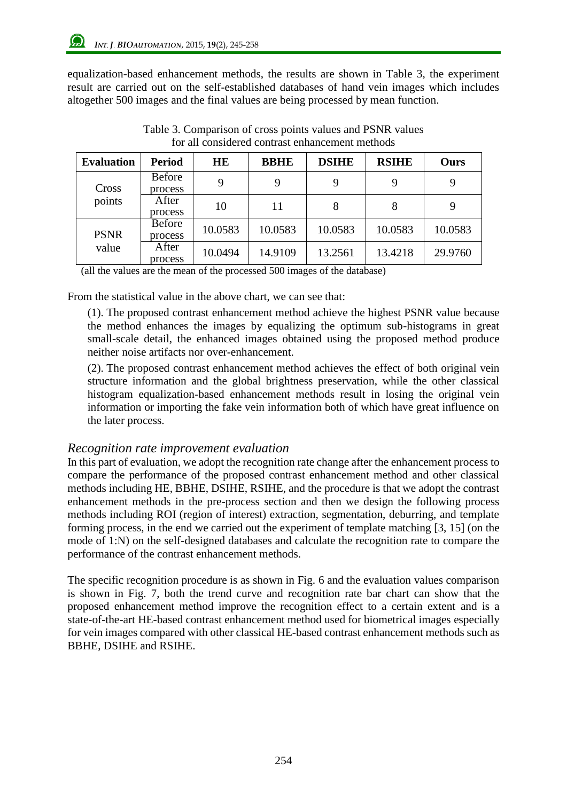equalization-based enhancement methods, the results are shown in Table 3, the experiment result are carried out on the self-established databases of hand vein images which includes altogether 500 images and the final values are being processed by mean function.

| <b>Evaluation</b>    | <b>Period</b>            | <b>HE</b> | <b>BBHE</b> | <b>DSIHE</b> | <b>RSIHE</b> | Ours    |
|----------------------|--------------------------|-----------|-------------|--------------|--------------|---------|
| Cross<br>points      | <b>Before</b><br>process | 9         | 9           | 9            | 9            | 9       |
|                      | After<br>process         | 10        | 11          | 8            | 8            | 9       |
| <b>PSNR</b><br>value | <b>Before</b><br>process | 10.0583   | 10.0583     | 10.0583      | 10.0583      | 10.0583 |
|                      | After<br>process         | 10.0494   | 14.9109     | 13.2561      | 13.4218      | 29.9760 |

Table 3. Comparison of cross points values and PSNR values for all considered contrast enhancement methods

(all the values are the mean of the processed 500 images of the database)

From the statistical value in the above chart, we can see that:

(1). The proposed contrast enhancement method achieve the highest PSNR value because the method enhances the images by equalizing the optimum sub-histograms in great small-scale detail, the enhanced images obtained using the proposed method produce neither noise artifacts nor over-enhancement.

(2). The proposed contrast enhancement method achieves the effect of both original vein structure information and the global brightness preservation, while the other classical histogram equalization-based enhancement methods result in losing the original vein information or importing the fake vein information both of which have great influence on the later process.

### *Recognition rate improvement evaluation*

In this part of evaluation, we adopt the recognition rate change after the enhancement process to compare the performance of the proposed contrast enhancement method and other classical methods including HE, BBHE, DSIHE, RSIHE, and the procedure is that we adopt the contrast enhancement methods in the pre-process section and then we design the following process methods including ROI (region of interest) extraction, segmentation, deburring, and template forming process, in the end we carried out the experiment of template matching [3, 15] (on the mode of 1:N) on the self-designed databases and calculate the recognition rate to compare the performance of the contrast enhancement methods.

The specific recognition procedure is as shown in Fig. 6 and the evaluation values comparison is shown in Fig. 7, both the trend curve and recognition rate bar chart can show that the proposed enhancement method improve the recognition effect to a certain extent and is a state-of-the-art HE-based contrast enhancement method used for biometrical images especially for vein images compared with other classical HE-based contrast enhancement methods such as BBHE, DSIHE and RSIHE.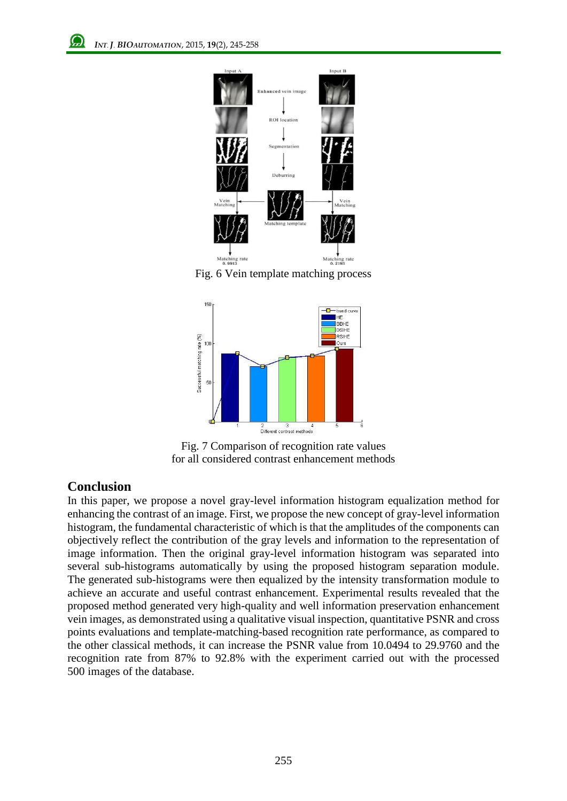

Fig. 6 Vein template matching process





### **Conclusion**

In this paper, we propose a novel gray-level information histogram equalization method for enhancing the contrast of an image. First, we propose the new concept of gray-level information histogram, the fundamental characteristic of which is that the amplitudes of the components can objectively reflect the contribution of the gray levels and information to the representation of image information. Then the original gray-level information histogram was separated into several sub-histograms automatically by using the proposed histogram separation module. The generated sub-histograms were then equalized by the intensity transformation module to achieve an accurate and useful contrast enhancement. Experimental results revealed that the proposed method generated very high-quality and well information preservation enhancement vein images, as demonstrated using a qualitative visual inspection, quantitative PSNR and cross points evaluations and template-matching-based recognition rate performance, as compared to the other classical methods, it can increase the PSNR value from 10.0494 to 29.9760 and the recognition rate from 87% to 92.8% with the experiment carried out with the processed 500 images of the database.

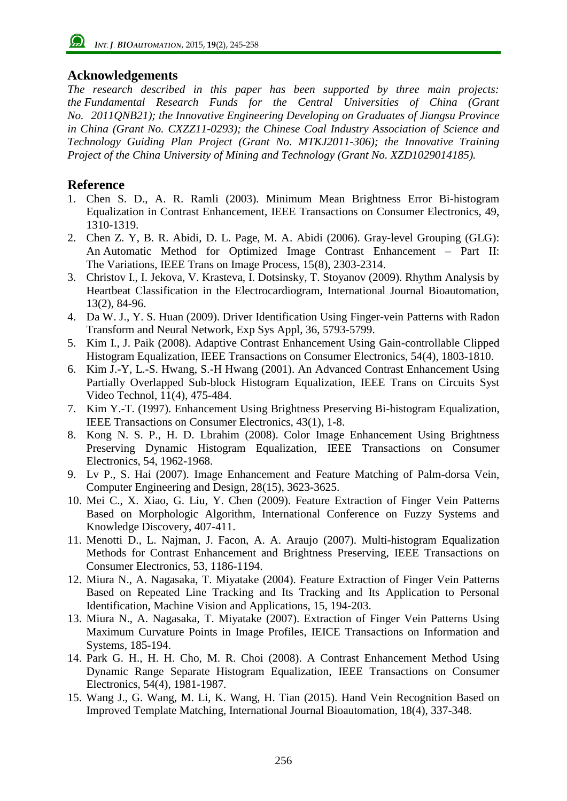# **Acknowledgements**

*The research described in this paper has been supported by three main projects: the Fundamental Research Funds for the Central Universities of China (Grant No. 2011QNB21); the Innovative Engineering Developing on Graduates of Jiangsu Province in China (Grant No. CXZZ11-0293); the Chinese Coal Industry Association of Science and Technology Guiding Plan Project (Grant No. MTKJ2011-306); the Innovative Training Project of the China University of Mining and Technology (Grant No. XZD1029014185).*

# **Reference**

- 1. Chen S. D., A. R. Ramli (2003). Minimum Mean Brightness Error Bi-histogram Equalization in Contrast Enhancement, IEEE Transactions on Consumer Electronics, 49, 1310-1319.
- 2. Chen Z. Y, B. R. Abidi, D. L. Page, M. A. Abidi (2006). Gray-level Grouping (GLG): An Automatic Method for Optimized Image Contrast Enhancement – Part II: The Variations, IEEE Trans on Image Process, 15(8), 2303-2314.
- 3. Christov I., I. Jekova, V. Krasteva, I. Dotsinsky, T. Stoyanov (2009). Rhythm Analysis by Heartbeat Classification in the Electrocardiogram, International Journal Bioautomation, 13(2), 84-96.
- 4. Da W. J., Y. S. Huan (2009). Driver Identification Using Finger-vein Patterns with Radon Transform and Neural Network, Exp Sys Appl, 36, 5793-5799.
- 5. Kim I., J. Paik (2008). Adaptive Contrast Enhancement Using Gain-controllable Clipped Histogram Equalization, IEEE Transactions on Consumer Electronics, 54(4), 1803-1810.
- 6. Kim J.-Y, L.-S. Hwang, S.-H Hwang (2001). An Advanced Contrast Enhancement Using Partially Overlapped Sub-block Histogram Equalization, IEEE Trans on Circuits Syst Video Technol, 11(4), 475-484.
- 7. Kim Y.-T. (1997). Enhancement Using Brightness Preserving Bi-histogram Equalization, IEEE Transactions on Consumer Electronics, 43(1), 1-8.
- 8. Kong N. S. P., H. D. Lbrahim (2008). Color Image Enhancement Using Brightness Preserving Dynamic Histogram Equalization, IEEE Transactions on Consumer Electronics, 54, 1962-1968.
- 9. Lv P., S. Hai (2007). Image Enhancement and Feature Matching of Palm-dorsa Vein, Computer Engineering and Design, 28(15), 3623-3625.
- 10. Mei C., X. Xiao, G. Liu, Y. Chen (2009). Feature Extraction of Finger Vein Patterns Based on Morphologic Algorithm, International Conference on Fuzzy Systems and Knowledge Discovery, 407-411.
- 11. Menotti D., L. Najman, J. Facon, A. A. Araujo (2007). Multi-histogram Equalization Methods for Contrast Enhancement and Brightness Preserving, IEEE Transactions on Consumer Electronics, 53, 1186-1194.
- 12. Miura N., A. Nagasaka, T. Miyatake (2004). Feature Extraction of Finger Vein Patterns Based on Repeated Line Tracking and Its Tracking and Its Application to Personal Identification, Machine Vision and Applications, 15, 194-203.
- 13. Miura N., A. Nagasaka, T. Miyatake (2007). Extraction of Finger Vein Patterns Using Maximum Curvature Points in Image Profiles, IEICE Transactions on Information and Systems, 185-194.
- 14. Park G. H., H. H. Cho, M. R. Choi (2008). A Contrast Enhancement Method Using Dynamic Range Separate Histogram Equalization, IEEE Transactions on Consumer Electronics, 54(4), 1981-1987.
- 15. Wang J., G. Wang, M. Li, K. Wang, H. Tian (2015). Hand Vein Recognition Based on Improved Template Matching, International Journal Bioautomation, 18(4), 337-348.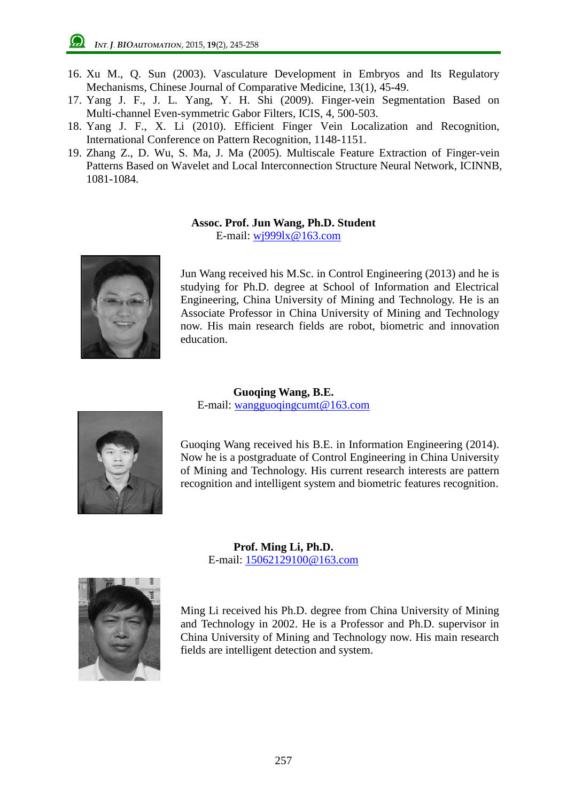- 16. Xu M., Q. Sun (2003). Vasculature Development in Embryos and Its Regulatory Mechanisms, Chinese Journal of Comparative Medicine, 13(1), 45-49.
- 17. Yang J. F., J. L. Yang, Y. H. Shi (2009). Finger-vein Segmentation Based on Multi-channel Even-symmetric Gabor Filters, ICIS, 4, 500-503.
- 18. Yang J. F., X. Li (2010). Efficient Finger Vein Localization and Recognition, International Conference on Pattern Recognition, 1148-1151.
- 19. Zhang Z., D. Wu, S. Ma, J. Ma (2005). Multiscale Feature Extraction of Finger-vein Patterns Based on Wavelet and Local Interconnection Structure Neural Network, ICINNB, 1081-1084.

#### **Assoc. Prof. Jun Wang, Ph.D. Student** E-mail: wj999lx@163.com



Jun Wang received his M.Sc. in Control Engineering (2013) and he is studying for Ph.D. degree at School of Information and Electrical Engineering, China University of Mining and Technology. He is an Associate Professor in China University of Mining and Technology now. His main research fields are robot, biometric and innovation education.

**Guoqing Wang, B.E.** E-mail: wangguoqingcumt@163.com



Guoqing Wang received his B.E. in Information Engineering (2014). Now he is a postgraduate of Control Engineering in China University of Mining and Technology. His current research interests are pattern recognition and intelligent system and biometric features recognition.

**Prof. Ming Li, Ph.D.** E-mail: 15062129100@163.com



Ming Li received his Ph.D. degree from China University of Mining and Technology in 2002. He is a Professor and Ph.D. supervisor in China University of Mining and Technology now. His main research fields are intelligent detection and system.